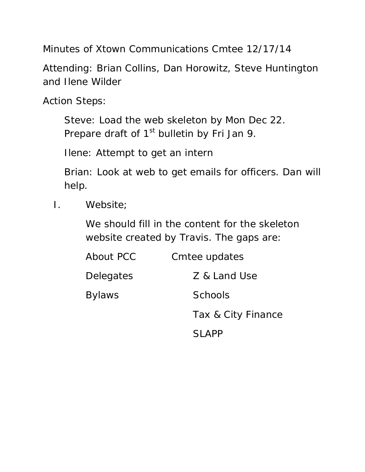Minutes of Xtown Communications Cmtee 12/17/14

Attending: Brian Collins, Dan Horowitz, Steve Huntington and Ilene Wilder

Action Steps:

 Steve: Load the web skeleton by Mon Dec 22. Prepare draft of  $1<sup>st</sup>$  bulletin by Fri Jan 9.

Ilene: Attempt to get an intern

 Brian: Look at web to get emails for officers. Dan will help.

I. Website;

 We should fill in the content for the skeleton website created by Travis. The gaps are:

| About PCC     | Cmtee updates      |
|---------------|--------------------|
| Delegates     | Z & Land Use       |
| <b>Bylaws</b> | Schools            |
|               | Tax & City Finance |
|               | <b>SI APP</b>      |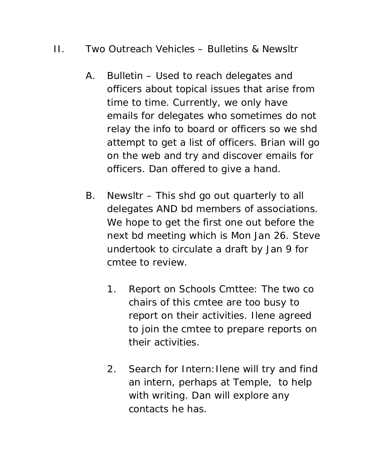## II. Two Outreach Vehicles – Bulletins & Newsltr

- A. Bulletin Used to reach delegates and officers about topical issues that arise from time to time. Currently, we only have emails for delegates who sometimes do not relay the info to board or officers so we shd attempt to get a list of officers. Brian will go on the web and try and discover emails for officers. Dan offered to give a hand.
- B. Newsltr This shd go out quarterly to all delegates AND bd members of associations. We hope to get the first one out before the next bd meeting which is Mon Jan 26. Steve undertook to circulate a draft by Jan 9 for cmtee to review.
	- 1. Report on Schools Cmttee: The two co chairs of this cmtee are too busy to report on their activities. Ilene agreed to join the cmtee to prepare reports on their activities.
	- 2. Search for Intern: Ilene will try and find an intern, perhaps at Temple, to help with writing. Dan will explore any contacts he has.